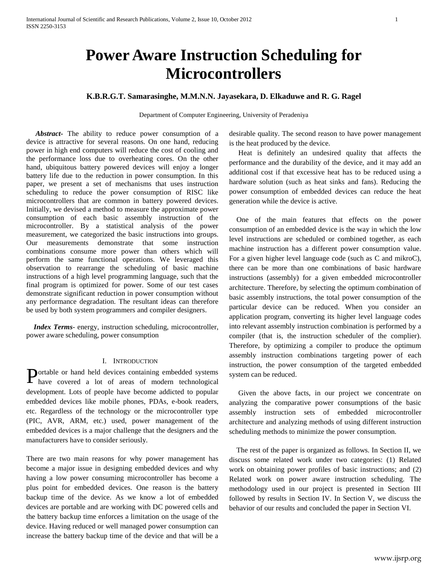# **Power Aware Instruction Scheduling for Microcontrollers**

# **K.B.R.G.T. Samarasinghe, M.M.N.N. Jayasekara, D. Elkaduwe and R. G. Ragel**

Department of Computer Engineering, University of Peradeniya

 *Abstract***-** The ability to reduce power consumption of a device is attractive for several reasons. On one hand, reducing power in high end computers will reduce the cost of cooling and the performance loss due to overheating cores. On the other hand, ubiquitous battery powered devices will enjoy a longer battery life due to the reduction in power consumption. In this paper, we present a set of mechanisms that uses instruction scheduling to reduce the power consumption of RISC like microcontrollers that are common in battery powered devices. Initially, we devised a method to measure the approximate power consumption of each basic assembly instruction of the microcontroller. By a statistical analysis of the power measurement, we categorized the basic instructions into groups. Our measurements demonstrate that some instruction combinations consume more power than others which will perform the same functional operations. We leveraged this observation to rearrange the scheduling of basic machine instructions of a high level programming language, such that the final program is optimized for power. Some of our test cases demonstrate significant reduction in power consumption without any performance degradation. The resultant ideas can therefore be used by both system programmers and compiler designers.

 *Index Terms*- energy, instruction scheduling, microcontroller, power aware scheduling, power consumption

#### I. INTRODUCTION

ortable or hand held devices containing embedded systems **Portable or hand held devices containing embedded systems** have covered a lot of areas of modern technological development. Lots of people have become addicted to popular embedded devices like mobile phones, PDAs, e-book readers, etc. Regardless of the technology or the microcontroller type (PIC, AVR, ARM, etc.) used, power management of the embedded devices is a major challenge that the designers and the manufacturers have to consider seriously.

There are two main reasons for why power management has become a major issue in designing embedded devices and why having a low power consuming microcontroller has become a plus point for embedded devices. One reason is the battery backup time of the device. As we know a lot of embedded devices are portable and are working with DC powered cells and the battery backup time enforces a limitation on the usage of the device. Having reduced or well managed power consumption can increase the battery backup time of the device and that will be a desirable quality. The second reason to have power management is the heat produced by the device.

Heat is definitely an undesired quality that affects the performance and the durability of the device, and it may add an additional cost if that excessive heat has to be reduced using a hardware solution (such as heat sinks and fans). Reducing the power consumption of embedded devices can reduce the heat generation while the device is active.

 One of the main features that effects on the power consumption of an embedded device is the way in which the low level instructions are scheduled or combined together, as each machine instruction has a different power consumption value. For a given higher level language code (such as C and mikroC), there can be more than one combinations of basic hardware instructions (assembly) for a given embedded microcontroller architecture. Therefore, by selecting the optimum combination of basic assembly instructions, the total power consumption of the particular device can be reduced. When you consider an application program, converting its higher level language codes into relevant assembly instruction combination is performed by a compiler (that is, the instruction scheduler of the complier). Therefore, by optimizing a compiler to produce the optimum assembly instruction combinations targeting power of each instruction, the power consumption of the targeted embedded system can be reduced.

 Given the above facts, in our project we concentrate on analyzing the comparative power consumptions of the basic assembly instruction sets of embedded microcontroller architecture and analyzing methods of using different instruction scheduling methods to minimize the power consumption.

 The rest of the paper is organized as follows. In Section II, we discuss some related work under two categories: (1) Related work on obtaining power profiles of basic instructions; and (2) Related work on power aware instruction scheduling. The methodology used in our project is presented in Section III followed by results in Section IV. In Section V, we discuss the behavior of our results and concluded the paper in Section VI.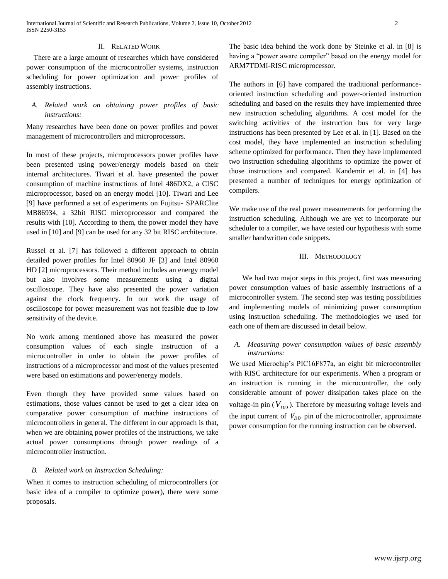#### II. RELATED WORK

 There are a large amount of researches which have considered power consumption of the microcontroller systems, instruction scheduling for power optimization and power profiles of assembly instructions.

# *A. Related work on obtaining power profiles of basic instructions:*

Many researches have been done on power profiles and power management of microcontrollers and microprocessors.

In most of these projects, microprocessors power profiles have been presented using power/energy models based on their internal architectures. Tiwari et al. have presented the power consumption of machine instructions of Intel 486DX2, a CISC microprocessor, based on an energy model [10]. Tiwari and Lee [9] have performed a set of experiments on Fujitsu- SPARClite MB86934, a 32bit RISC microprocessor and compared the results with [10]. According to them, the power model they have used in [10] and [9] can be used for any 32 bit RISC architecture.

Russel et al. [7] has followed a different approach to obtain detailed power profiles for Intel 80960 JF [3] and Intel 80960 HD [2] microprocessors. Their method includes an energy model but also involves some measurements using a digital oscilloscope. They have also presented the power variation against the clock frequency. In our work the usage of oscilloscope for power measurement was not feasible due to low sensitivity of the device.

No work among mentioned above has measured the power consumption values of each single instruction of a microcontroller in order to obtain the power profiles of instructions of a microprocessor and most of the values presented were based on estimations and power/energy models.

Even though they have provided some values based on estimations, those values cannot be used to get a clear idea on comparative power consumption of machine instructions of microcontrollers in general. The different in our approach is that, when we are obtaining power profiles of the instructions, we take actual power consumptions through power readings of a microcontroller instruction.

### *B. Related work on Instruction Scheduling:*

When it comes to instruction scheduling of microcontrollers (or basic idea of a compiler to optimize power), there were some proposals.

The basic idea behind the work done by Steinke et al. in [8] is having a "power aware compiler" based on the energy model for ARM7TDMI-RISC microprocessor.

The authors in [6] have compared the traditional performanceoriented instruction scheduling and power-oriented instruction scheduling and based on the results they have implemented three new instruction scheduling algorithms. A cost model for the switching activities of the instruction bus for very large instructions has been presented by Lee et al. in [1]. Based on the cost model, they have implemented an instruction scheduling scheme optimized for performance. Then they have implemented two instruction scheduling algorithms to optimize the power of those instructions and compared. Kandemir et al. in [4] has presented a number of techniques for energy optimization of compilers.

We make use of the real power measurements for performing the instruction scheduling. Although we are yet to incorporate our scheduler to a compiler, we have tested our hypothesis with some smaller handwritten code snippets.

#### III. METHODOLOGY

We had two major steps in this project, first was measuring power consumption values of basic assembly instructions of a microcontroller system. The second step was testing possibilities and implementing models of minimizing power consumption using instruction scheduling. The methodologies we used for each one of them are discussed in detail below.

## *A. Measuring power consumption values of basic assembly instructions:*

We used Microchip's PIC16F877a, an eight bit microcontroller with RISC architecture for our experiments. When a program or an instruction is running in the microcontroller, the only considerable amount of power dissipation takes place on the voltage-in pin  $(V_{DD})$ . Therefore by measuring voltage levels and the input current of  $V_{DD}$  pin of the microcontroller, approximate power consumption for the running instruction can be observed.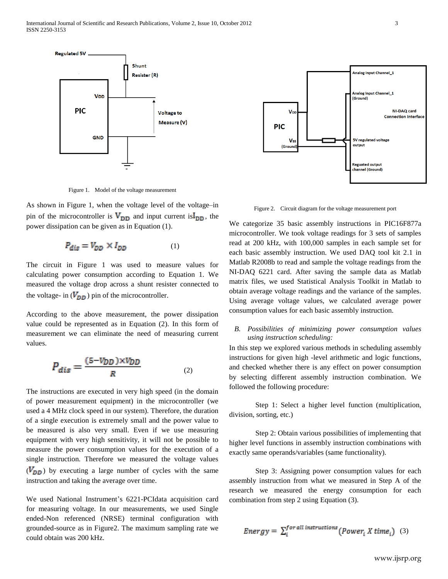

Figure 1. Model of the voltage measurement

As shown in Figure 1, when the voltage level of the voltage–in pin of the microcontroller is  $V_{DD}$  and input current is  $I_{DD}$ , the power dissipation can be given as in Equation (1).

$$
P_{dis} = V_{DD} \times I_{DD} \tag{1}
$$

The circuit in Figure 1 was used to measure values for calculating power consumption according to Equation 1. We measured the voltage drop across a shunt resister connected to the voltage- in  $(V_{DD})$  pin of the microcontroller.

According to the above measurement, the power dissipation value could be represented as in Equation (2). In this form of measurement we can eliminate the need of measuring current values.

$$
P_{dis} = \frac{(5 - V_{DD}) \times V_{DD}}{R} \tag{2}
$$

The instructions are executed in very high speed (in the domain of power measurement equipment) in the microcontroller (we used a 4 MHz clock speed in our system). Therefore, the duration of a single execution is extremely small and the power value to be measured is also very small. Even if we use measuring equipment with very high sensitivity, it will not be possible to measure the power consumption values for the execution of a single instruction. Therefore we measured the voltage values  $(V_{DD})$  by executing a large number of cycles with the same instruction and taking the average over time.

We used National Instrument's 6221-PCIdata acquisition card for measuring voltage. In our measurements, we used Single ended-Non referenced (NRSE) terminal configuration with grounded-source as in Figure2. The maximum sampling rate we could obtain was 200 kHz.



Figure 2. Circuit diagram for the voltage measurement port

We categorize 35 basic assembly instructions in PIC16F877a microcontroller. We took voltage readings for 3 sets of samples read at 200 kHz, with 100,000 samples in each sample set for each basic assembly instruction. We used DAQ tool kit 2.1 in Matlab R2008b to read and sample the voltage readings from the NI-DAQ 6221 card. After saving the sample data as Matlab matrix files, we used Statistical Analysis Toolkit in Matlab to obtain average voltage readings and the variance of the samples. Using average voltage values, we calculated average power consumption values for each basic assembly instruction.

# *B. Possibilities of minimizing power consumption values using instruction scheduling:*

In this step we explored various methods in scheduling assembly instructions for given high -level arithmetic and logic functions, and checked whether there is any effect on power consumption by selecting different assembly instruction combination. We followed the following procedure:

Step 1: Select a higher level function (multiplication, division, sorting, etc.)

Step 2: Obtain various possibilities of implementing that higher level functions in assembly instruction combinations with exactly same operands/variables (same functionality).

Step 3: Assigning power consumption values for each assembly instruction from what we measured in Step A of the research we measured the energy consumption for each combination from step 2 using Equation (3).

Energy = 
$$
\sum_{i}^{for all instructions}(Power_i X time_i)
$$
 (3)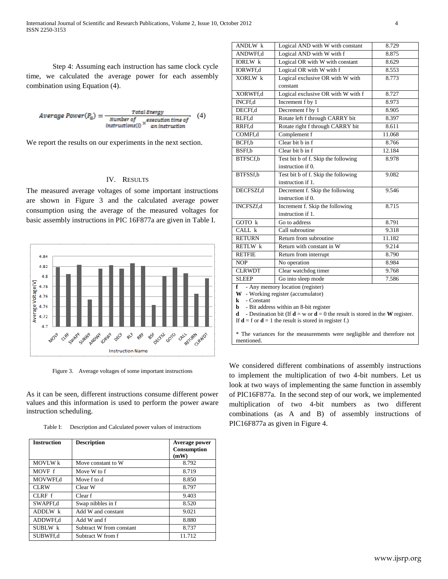Step 4: Assuming each instruction has same clock cycle time, we calculated the average power for each assembly combination using Equation (4).

$$
Average Power(P_a) = \frac{Total Energy}{Number of a execution time of}
$$
 (4)  
instructions(i) × an instruction

We report the results on our experiments in the next section.

#### IV. RESULTS

The measured average voltages of some important instructions are shown in Figure 3 and the calculated average power consumption using the average of the measured voltages for basic assembly instructions in PIC 16F877a are given in Table I.



Figure 3. Average voltages of some important instructions

As it can be seen, different instructions consume different power values and this information is used to perform the power aware instruction scheduling.

Table I: Description and Calculated power values of instructions

| <b>Instruction</b> | <b>Description</b>       | Average power<br>Consumption<br>(mW) |
|--------------------|--------------------------|--------------------------------------|
| <b>MOVLW</b> k     | Move constant to W       | 8.792                                |
| MOVF f             | Move W to f              | 8.719                                |
| MOVWFf,d           | Move f to d              | 8.850                                |
| <b>CLRW</b>        | Clear W                  | 8.797                                |
| CLRFf              | Clear f                  | 9.403                                |
| SWAPFf,d           | Swap nibbles in f        | 8.520                                |
| ADDLW k            | Add W and constant       | 9.021                                |
| ADDWFf.d           | Add W and f              | 8.880                                |
| SUBLW k            | Subtract W from constant | 8.737                                |
| SUBWFf.d           | Subtract W from f        | 11.712                               |

| ANDLW k                                                                                                                                                | Logical AND with W with constant    | 8.729  |
|--------------------------------------------------------------------------------------------------------------------------------------------------------|-------------------------------------|--------|
| ANDWFf,d                                                                                                                                               | Logical AND with W with f           | 8.875  |
| <b>IORLW</b> k                                                                                                                                         | Logical OR with W with constant     | 8.629  |
| IORWFf,d                                                                                                                                               | Logical OR with W with f            | 8.553  |
| XORLW k                                                                                                                                                | Logical exclusive OR with W with    | 8.773  |
|                                                                                                                                                        | constant                            |        |
| XORWFf,d                                                                                                                                               | Logical exclusive OR with W with f  | 8.727  |
| INCFf,d                                                                                                                                                | Increment f by 1                    | 8.973  |
| DECFf,d                                                                                                                                                | Decrement f by 1                    | 8.905  |
| RLFf,d                                                                                                                                                 | Rotate left f through CARRY bit     | 8.397  |
| RRFf,d                                                                                                                                                 | Rotate right f through CARRY bit    | 8.611  |
| COMFf.d                                                                                                                                                | Complement f                        | 11.068 |
| BCFf,b                                                                                                                                                 | Clear bit b in f                    | 8.766  |
| BSFf,b                                                                                                                                                 | Clear bit b in f                    | 12.184 |
| BTFSCf,b                                                                                                                                               | Test bit b of f. Skip the following | 8.978  |
|                                                                                                                                                        | instruction if 0.                   |        |
| BTFSSf,b                                                                                                                                               | Test bit b of f. Skip the following | 9.082  |
|                                                                                                                                                        | instruction if 1.                   |        |
| DECFSZf,d                                                                                                                                              | Decrement f. Skip the following     | 9.546  |
|                                                                                                                                                        | instruction if 0.                   |        |
| <b>INCFSZf,d</b>                                                                                                                                       | Increment f. Skip the following     | 8.715  |
|                                                                                                                                                        | instruction if 1.                   |        |
| GOTO k                                                                                                                                                 | Go to address                       | 8.791  |
| $CALL$ $k$                                                                                                                                             | Call subroutine                     | 9.318  |
| <b>RETURN</b>                                                                                                                                          | Return from subroutine              | 11.182 |
| RETLW k                                                                                                                                                | Return with constant in W           | 9.214  |
| <b>RETFIE</b>                                                                                                                                          | Return from interrupt               | 8.790  |
| <b>NOP</b>                                                                                                                                             | No operation                        | 8.984  |
| <b>CLRWDT</b>                                                                                                                                          | Clear watchdog timer                | 9.768  |
| <b>SLEEP</b>                                                                                                                                           | Go into sleep mode                  | 7.586  |
| - Any memory location (register)<br>f                                                                                                                  |                                     |        |
| W - Working register (accumulator)                                                                                                                     |                                     |        |
| k<br>- Constant                                                                                                                                        |                                     |        |
| - Bit address within an 8-bit register<br>b<br>- Destination bit (If $\mathbf{d} = w$ or $\mathbf{d} = 0$ the result is stored in the W register.<br>d |                                     |        |
| If $\mathbf{d} = \mathbf{f}$ or $\mathbf{d} = 1$ the result is stored in register f.)                                                                  |                                     |        |
|                                                                                                                                                        |                                     |        |
| * The variances for the measurements were negligible and therefore not                                                                                 |                                     |        |
| mentioned.                                                                                                                                             |                                     |        |

We considered different combinations of assembly instructions to implement the multiplication of two 4-bit numbers. Let us look at two ways of implementing the same function in assembly of PIC16F877a. In the second step of our work, we implemented multiplication of two 4-bit numbers as two different combinations (as A and B) of assembly instructions of PIC16F877a as given in Figure 4.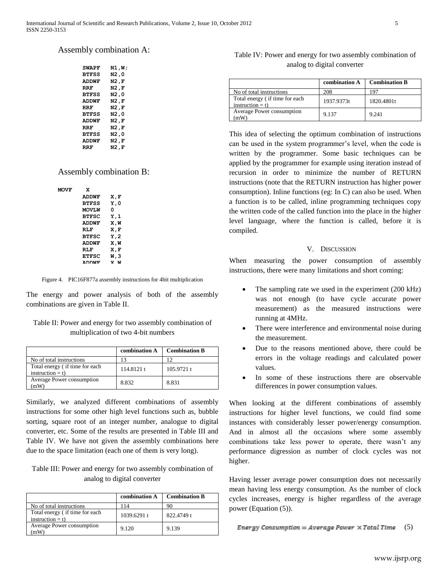# Assembly combination A:

| <b>SWAPF</b> | N1,W; |
|--------------|-------|
| <b>BTFSS</b> | N2,0  |
| ADDWF        | N2,F  |
| RRF          | N2,F  |
| <b>BTFSS</b> | N2,0  |
| <b>ADDWF</b> | N2,F  |
| RRF          | N2,F  |
| <b>BTFSS</b> | N2.0  |
| ADDWF        | N2,F  |
| RRF          | N2,F  |
| <b>BTFSS</b> | N2,0  |
| ADDWF        | N2,F  |
| RRF          | N2,F  |
|              |       |

# Assembly combination B:

| <b>MOVF</b> | x            |          |
|-------------|--------------|----------|
|             | <b>ADDWF</b> | X, F     |
|             | <b>BTFSS</b> | Υ,Ο      |
|             | <b>MOVLW</b> | o        |
|             | <b>BTFSC</b> | Y, 1     |
|             | <b>ADDWF</b> | X, W     |
|             | RT.F         | X, F     |
|             | <b>BTFSC</b> | Y, 2     |
|             | <b>ADDWF</b> | X, W     |
|             | RT.F         | X, F     |
|             | <b>ETFSC</b> | W,3      |
|             | *****        | 1.1<br>v |

Figure 4. PIC16F877a assembly instructions for 4bit multiplication

The energy and power analysis of both of the assembly combinations are given in Table II.

# Table II: Power and energy for two assembly combination of multiplication of two 4-bit numbers

|                                                      | combination A | <b>Combination B</b> |
|------------------------------------------------------|---------------|----------------------|
| No of total instructions                             | 13            | ר ו                  |
| Total energy (if time for each<br>instruction $=$ t) | 114.8121 t    | 105.9721 t           |
| Average Power consumption<br>mW                      | 8.832         | 8.831                |

Similarly, we analyzed different combinations of assembly instructions for some other high level functions such as, bubble sorting, square root of an integer number, analogue to digital converter, etc. Some of the results are presented in Table III and Table IV. We have not given the assembly combinations here due to the space limitation (each one of them is very long).

# Table III: Power and energy for two assembly combination of analog to digital converter

|                                                      | combination A | <b>Combination B</b> |
|------------------------------------------------------|---------------|----------------------|
| No of total instructions                             | 114           | 90                   |
| Total energy (if time for each<br>instruction $=$ t) | 1039.6291 t   | 822.4749 t           |
| Average Power consumption<br>mW)                     | 9.120         | 9.139                |

# Table IV: Power and energy for two assembly combination of analog to digital converter

|                                                     | combination A | <b>Combination B</b> |
|-----------------------------------------------------|---------------|----------------------|
| No of total instructions                            | 208           | 197                  |
| Total energy (if time for each<br>$instruction = t$ | 1937.9373t    | 1820.4801t           |
| Average Power consumption<br>mW)                    | 9.137         | 9.241                |

This idea of selecting the optimum combination of instructions can be used in the system programmer's level, when the code is written by the programmer. Some basic techniques can be applied by the programmer for example using iteration instead of recursion in order to minimize the number of RETURN instructions (note that the RETURN instruction has higher power consumption). Inline functions (eg: In C) can also be used. When a function is to be called, inline programming techniques copy the written code of the called function into the place in the higher level language, where the function is called, before it is compiled.

## V. DISCUSSION

When measuring the power consumption of assembly instructions, there were many limitations and short coming:

- The sampling rate we used in the experiment (200 kHz) was not enough (to have cycle accurate power measurement) as the measured instructions were running at 4MHz.
- There were interference and environmental noise during the measurement.
- Due to the reasons mentioned above, there could be errors in the voltage readings and calculated power values.
- In some of these instructions there are observable differences in power consumption values.

When looking at the different combinations of assembly instructions for higher level functions, we could find some instances with considerably lesser power/energy consumption. And in almost all the occasions where some assembly combinations take less power to operate, there wasn't any performance digression as number of clock cycles was not higher.

Having lesser average power consumption does not necessarily mean having less energy consumption. As the number of clock cycles increases, energy is higher regardless of the average power (Equation (5)).

Energy Consumption = Average Power  $\times$  Total Time (5)